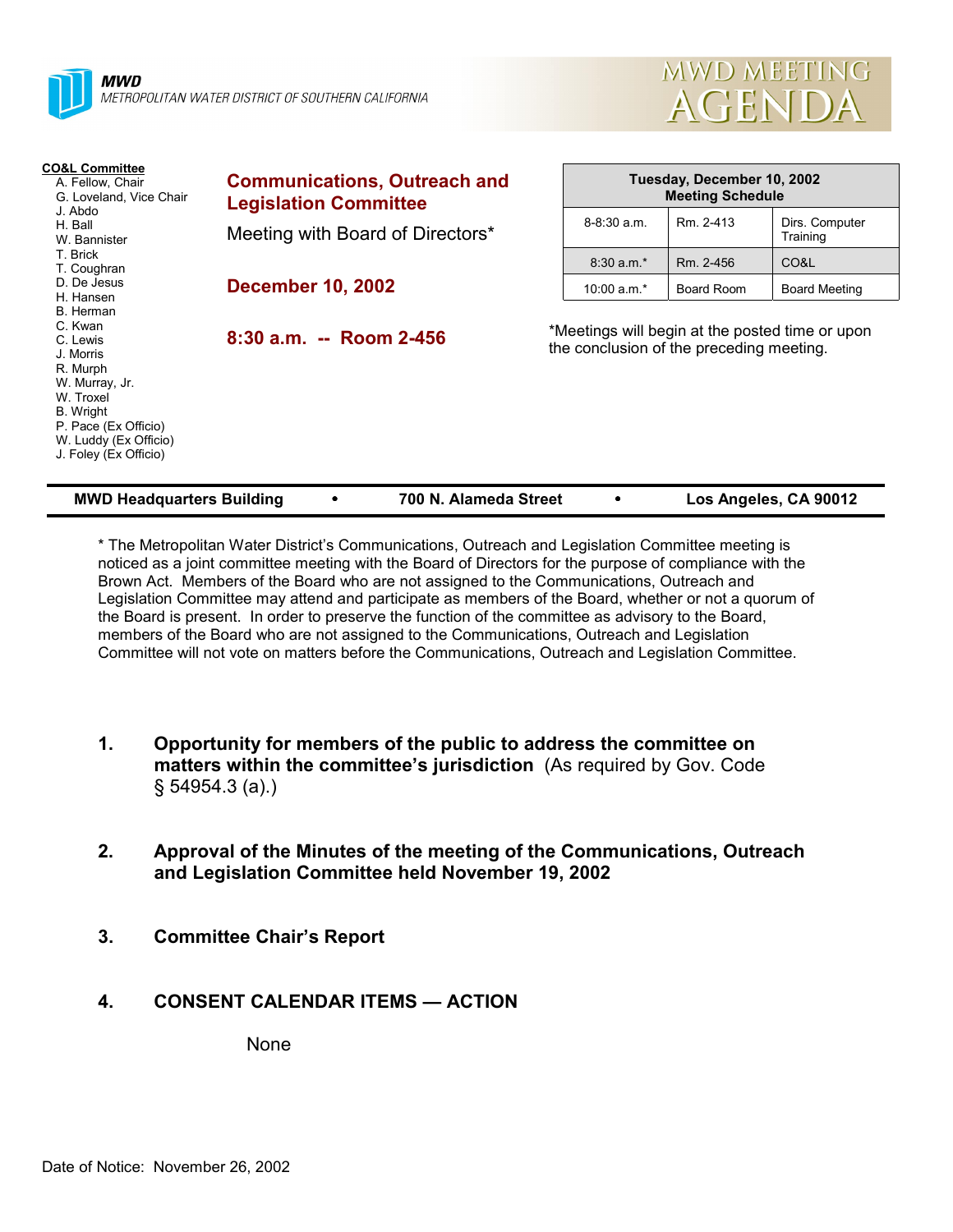

**MWD** METROPOLITAN WATER DISTRICT OF SOUTHERN CALIFORNIA



| <b>CO&amp;L Committee</b><br>A. Fellow, Chair<br>G. Loveland, Vice Chair<br>J. Abdo<br>H. Ball<br>W. Bannister                                                                                              | <b>Communications, Outreach and</b><br><b>Legislation Committee</b> |                                          | Tuesday, December 10, 2002<br><b>Meeting Schedule</b> |                                                 |  |
|-------------------------------------------------------------------------------------------------------------------------------------------------------------------------------------------------------------|---------------------------------------------------------------------|------------------------------------------|-------------------------------------------------------|-------------------------------------------------|--|
|                                                                                                                                                                                                             | Meeting with Board of Directors*                                    | $8 - 8:30$ a.m.                          | Rm. 2-413                                             | Dirs. Computer<br>Training                      |  |
| T. Brick<br>T. Coughran                                                                                                                                                                                     |                                                                     | $8:30$ a.m. <sup>*</sup>                 | Rm. 2-456                                             | CO&L                                            |  |
| D. De Jesus<br>H. Hansen<br>B. Herman<br>C. Kwan<br>C. Lewis<br>J. Morris<br>R. Murph<br>W. Murray, Jr.<br>W. Troxel<br>B. Wright<br>P. Pace (Ex Officio)<br>W. Luddy (Ex Officio)<br>J. Foley (Ex Officio) | <b>December 10, 2002</b>                                            | 10:00 $a.m.*$                            | Board Room                                            | <b>Board Meeting</b>                            |  |
|                                                                                                                                                                                                             | $8:30$ a.m. -- Room 2-456                                           | the conclusion of the preceding meeting. |                                                       | *Meetings will begin at the posted time or upon |  |

| <b>MWD Headquarters Building</b> |  | 700 N. Alameda Street |  | Los Angeles, CA 90012 |
|----------------------------------|--|-----------------------|--|-----------------------|
|----------------------------------|--|-----------------------|--|-----------------------|

\* The Metropolitan Water Districtís Communications, Outreach and Legislation Committee meeting is noticed as a joint committee meeting with the Board of Directors for the purpose of compliance with the Brown Act. Members of the Board who are not assigned to the Communications, Outreach and Legislation Committee may attend and participate as members of the Board, whether or not a quorum of the Board is present. In order to preserve the function of the committee as advisory to the Board, members of the Board who are not assigned to the Communications, Outreach and Legislation Committee will not vote on matters before the Communications, Outreach and Legislation Committee.

- **1. Opportunity for members of the public to address the committee on matters within the committee's jurisdiction** (As required by Gov. Code ß 54954.3 (a).)
- **2. Approval of the Minutes of the meeting of the Communications, Outreach and Legislation Committee held November 19, 2002**
- **3. Committee Chairís Report**
- **4. CONSENT CALENDAR ITEMS ACTION**

None